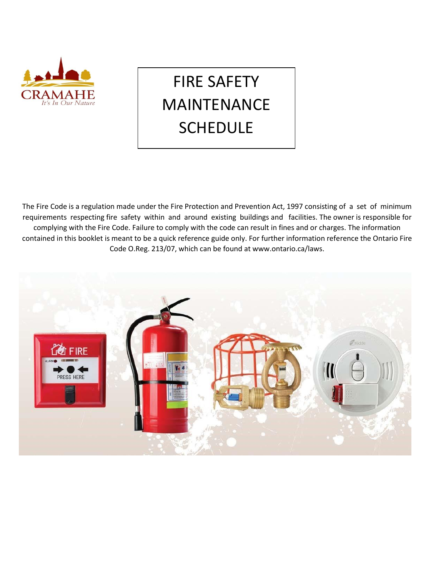

# FIRE SAFETY MAINTENANCE **SCHEDULE**

The Fire Code is a regulation made under the Fire Protection and Prevention Act, 1997 consisting of a set of minimum requirements respecting fire safety within and around existing buildings and facilities. The owner is responsible for complying with the Fire Code. Failure to comply with the code can result in fines and or charges. The information contained in this booklet is meant to be a quick reference guide only. For further information reference the Ontario Fire Code O.Reg. 213/07, which can be found at www.ontario.ca/laws.

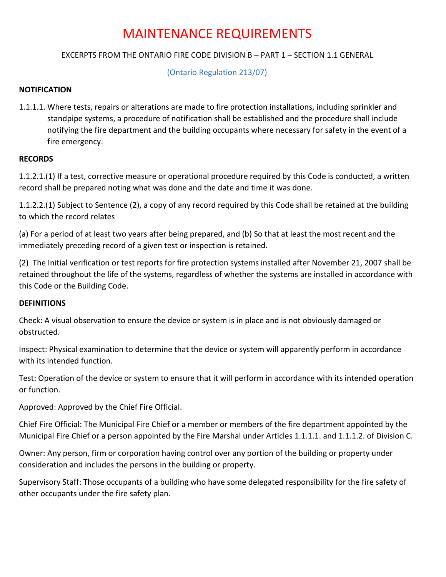# MAINTENANCE REQUIREMENTS

#### EXCERPTS FROM THE ONTARIO FIRE CODE DIVISION B – PART 1 – SECTION 1.1 GENERAL

#### (Ontario Regulation 213/07)

#### **NOTIFICATION**

1.1.1.1. Where tests, repairs or alterations are made to fire protection installations, including sprinkler and standpipe systems, a procedure of notification shall be established and the procedure shall include notifying the fire department and the building occupants where necessary for safety in the event of a fire emergency.

#### **RECORDS**

1.1.2.1.(1) If a test, corrective measure or operational procedure required by this Code is conducted, a written record shall be prepared noting what was done and the date and time it was done.

1.1.2.2.(1) Subject to Sentence (2), a copy of any record required by this Code shall be retained at the building to which the record relates

(a) For a period of at least two years after being prepared, and (b) So that at least the most recent and the immediately preceding record of a given test or inspection is retained.

(2) The Initial verification or test reports for fire protection systems installed after November 21, 2007 shall be retained throughout the life of the systems, regardless of whether the systems are installed in accordance with this Code or the Building Code.

#### **DEFINITIONS**

Check: A visual observation to ensure the device or system is in place and is not obviously damaged or obstructed.

Inspect: Physical examination to determine that the device or system will apparently perform in accordance with its intended function.

Test: Operation of the device or system to ensure that it will perform in accordance with its intended operation or function.

Approved: Approved by the Chief Fire Official.

Chief Fire Official: The Municipal Fire Chief or a member or members of the fire department appointed by the Municipal Fire Chief or a person appointed by the Fire Marshal under Articles 1.1.1.1. and 1.1.1.2. of Division C.

Owner: Any person, firm or corporation having control over any portion of the building or property under consideration and includes the persons in the building or property.

Supervisory Staff: Those occupants of a building who have some delegated responsibility for the fire safety of other occupants under the fire safety plan.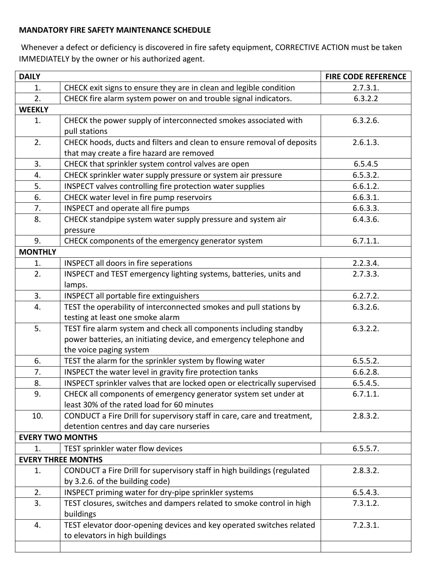#### **MANDATORY FIRE SAFETY MAINTENANCE SCHEDULE**

Whenever a defect or deficiency is discovered in fire safety equipment, CORRECTIVE ACTION must be taken IMMEDIATELY by the owner or his authorized agent.

| <b>DAILY</b>            |                                                                          | <b>FIRE CODE REFERENCE</b> |  |  |
|-------------------------|--------------------------------------------------------------------------|----------------------------|--|--|
| 1.                      | CHECK exit signs to ensure they are in clean and legible condition       | 2.7.3.1.                   |  |  |
| 2.                      | CHECK fire alarm system power on and trouble signal indicators.          | 6.3.2.2                    |  |  |
| <b>WEEKLY</b>           |                                                                          |                            |  |  |
| 1.                      | CHECK the power supply of interconnected smokes associated with          | 6.3.2.6.                   |  |  |
|                         | pull stations                                                            |                            |  |  |
| 2.                      | CHECK hoods, ducts and filters and clean to ensure removal of deposits   | 2.6.1.3.                   |  |  |
|                         | that may create a fire hazard are removed                                |                            |  |  |
| 3.                      | CHECK that sprinkler system control valves are open                      | 6.5.4.5                    |  |  |
| 4.                      | CHECK sprinkler water supply pressure or system air pressure             | 6.5.3.2.                   |  |  |
| 5.                      | INSPECT valves controlling fire protection water supplies                | 6.6.1.2.                   |  |  |
| 6.                      | CHECK water level in fire pump reservoirs                                | 6.6.3.1.                   |  |  |
| 7.                      | INSPECT and operate all fire pumps                                       | 6.6.3.3.                   |  |  |
| 8.                      | CHECK standpipe system water supply pressure and system air              | 6.4.3.6.                   |  |  |
|                         | pressure                                                                 |                            |  |  |
| 9.                      | CHECK components of the emergency generator system                       | 6.7.1.1.                   |  |  |
| <b>MONTHLY</b>          |                                                                          |                            |  |  |
| 1.                      | INSPECT all doors in fire seperations                                    | 2.2.3.4.                   |  |  |
| 2.                      | INSPECT and TEST emergency lighting systems, batteries, units and        | 2.7.3.3.                   |  |  |
|                         | lamps.                                                                   |                            |  |  |
| 3.                      | <b>INSPECT all portable fire extinguishers</b>                           | 6.2.7.2.                   |  |  |
| 4.                      | TEST the operability of interconnected smokes and pull stations by       | 6.3.2.6.                   |  |  |
|                         | testing at least one smoke alarm                                         |                            |  |  |
| 5.                      | TEST fire alarm system and check all components including standby        | 6.3.2.2.                   |  |  |
|                         | power batteries, an initiating device, and emergency telephone and       |                            |  |  |
|                         | the voice paging system                                                  |                            |  |  |
| 6.                      | TEST the alarm for the sprinkler system by flowing water                 | 6.5.5.2.                   |  |  |
| 7.                      | INSPECT the water level in gravity fire protection tanks                 | 6.6.2.8.                   |  |  |
| 8.                      | INSPECT sprinkler valves that are locked open or electrically supervised | 6.5.4.5.                   |  |  |
| 9.                      | CHECK all components of emergency generator system set under at          | 6.7.1.1.                   |  |  |
|                         | least 30% of the rated load for 60 minutes                               |                            |  |  |
| 10.                     | CONDUCT a Fire Drill for supervisory staff in care, care and treatment,  | 2.8.3.2.                   |  |  |
|                         | detention centres and day care nurseries                                 |                            |  |  |
| <b>EVERY TWO MONTHS</b> |                                                                          |                            |  |  |
| 1.                      | TEST sprinkler water flow devices                                        | 6.5.5.7.                   |  |  |
|                         | <b>EVERY THREE MONTHS</b>                                                |                            |  |  |
| 1.                      | CONDUCT a Fire Drill for supervisory staff in high buildings (regulated  | 2.8.3.2.                   |  |  |
|                         | by 3.2.6. of the building code)                                          |                            |  |  |
| 2.                      | INSPECT priming water for dry-pipe sprinkler systems                     | 6.5.4.3.                   |  |  |
| 3.                      | TEST closures, switches and dampers related to smoke control in high     | 7.3.1.2.                   |  |  |
|                         | buildings                                                                |                            |  |  |
| 4.                      | TEST elevator door-opening devices and key operated switches related     | 7.2.3.1.                   |  |  |
|                         | to elevators in high buildings                                           |                            |  |  |
|                         |                                                                          |                            |  |  |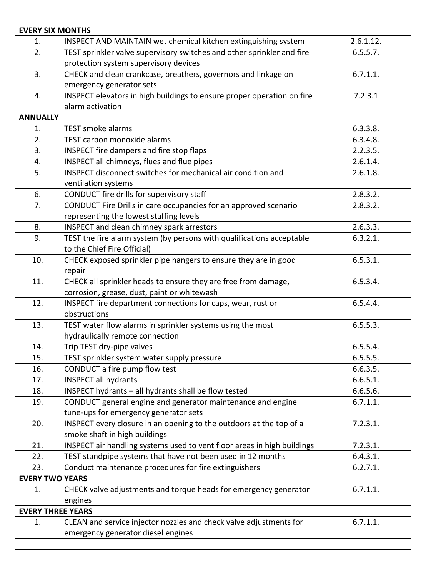| <b>EVERY SIX MONTHS</b>  |                                                                                                              |           |  |  |
|--------------------------|--------------------------------------------------------------------------------------------------------------|-----------|--|--|
| 1.                       | INSPECT AND MAINTAIN wet chemical kitchen extinguishing system                                               | 2.6.1.12. |  |  |
| 2.                       | TEST sprinkler valve supervisory switches and other sprinkler and fire                                       | 6.5.5.7.  |  |  |
|                          | protection system supervisory devices                                                                        |           |  |  |
| 3.                       | CHECK and clean crankcase, breathers, governors and linkage on                                               | 6.7.1.1.  |  |  |
|                          | emergency generator sets                                                                                     |           |  |  |
| 4.                       | INSPECT elevators in high buildings to ensure proper operation on fire                                       | 7.2.3.1   |  |  |
|                          | alarm activation                                                                                             |           |  |  |
| <b>ANNUALLY</b>          |                                                                                                              |           |  |  |
| 1.                       | <b>TEST smoke alarms</b>                                                                                     | 6.3.3.8.  |  |  |
| 2.                       | TEST carbon monoxide alarms                                                                                  | 6.3.4.8.  |  |  |
| 3.                       | INSPECT fire dampers and fire stop flaps                                                                     | 2.2.3.5.  |  |  |
| 4.                       | INSPECT all chimneys, flues and flue pipes                                                                   | 2.6.1.4.  |  |  |
| 5.                       | <b>INSPECT disconnect switches for mechanical air condition and</b>                                          | 2.6.1.8.  |  |  |
|                          | ventilation systems                                                                                          |           |  |  |
| 6.                       | CONDUCT fire drills for supervisory staff                                                                    | 2.8.3.2.  |  |  |
| 7.                       | CONDUCT Fire Drills in care occupancies for an approved scenario                                             | 2.8.3.2.  |  |  |
|                          | representing the lowest staffing levels                                                                      |           |  |  |
| 8.                       | INSPECT and clean chimney spark arrestors                                                                    | 2.6.3.3.  |  |  |
| 9.                       | TEST the fire alarm system (by persons with qualifications acceptable                                        | 6.3.2.1.  |  |  |
|                          | to the Chief Fire Official)                                                                                  |           |  |  |
| 10.                      | CHECK exposed sprinkler pipe hangers to ensure they are in good                                              | 6.5.3.1.  |  |  |
|                          | repair                                                                                                       |           |  |  |
| 11.                      | CHECK all sprinkler heads to ensure they are free from damage,                                               | 6.5.3.4.  |  |  |
|                          | corrosion, grease, dust, paint or whitewash                                                                  |           |  |  |
| 12.                      | INSPECT fire department connections for caps, wear, rust or                                                  | 6.5.4.4.  |  |  |
|                          | obstructions                                                                                                 |           |  |  |
| 13.                      | TEST water flow alarms in sprinkler systems using the most                                                   | 6.5.5.3.  |  |  |
|                          | hydraulically remote connection                                                                              |           |  |  |
| 14.                      | Trip TEST dry-pipe valves                                                                                    | 6.5.5.4.  |  |  |
| 15.                      | TEST sprinkler system water supply pressure                                                                  | 6.5.5.5.  |  |  |
| 16.                      | CONDUCT a fire pump flow test                                                                                | 6.6.3.5.  |  |  |
| 17.                      | <b>INSPECT all hydrants</b>                                                                                  | 6.6.5.1.  |  |  |
| 18.                      | INSPECT hydrants - all hydrants shall be flow tested                                                         | 6.6.5.6.  |  |  |
| 19.                      | CONDUCT general engine and generator maintenance and engine                                                  | 6.7.1.1.  |  |  |
| 20.                      | tune-ups for emergency generator sets<br>INSPECT every closure in an opening to the outdoors at the top of a | 7.2.3.1.  |  |  |
|                          | smoke shaft in high buildings                                                                                |           |  |  |
| 21.                      | INSPECT air handling systems used to vent floor areas in high buildings                                      | 7.2.3.1.  |  |  |
| 22.                      | TEST standpipe systems that have not been used in 12 months                                                  | 6.4.3.1.  |  |  |
| 23.                      | Conduct maintenance procedures for fire extinguishers                                                        | 6.2.7.1.  |  |  |
| <b>EVERY TWO YEARS</b>   |                                                                                                              |           |  |  |
| 1.                       | CHECK valve adjustments and torque heads for emergency generator                                             | 6.7.1.1.  |  |  |
|                          | engines                                                                                                      |           |  |  |
| <b>EVERY THREE YEARS</b> |                                                                                                              |           |  |  |
| 1.                       | CLEAN and service injector nozzles and check valve adjustments for                                           | 6.7.1.1.  |  |  |
|                          | emergency generator diesel engines                                                                           |           |  |  |
|                          |                                                                                                              |           |  |  |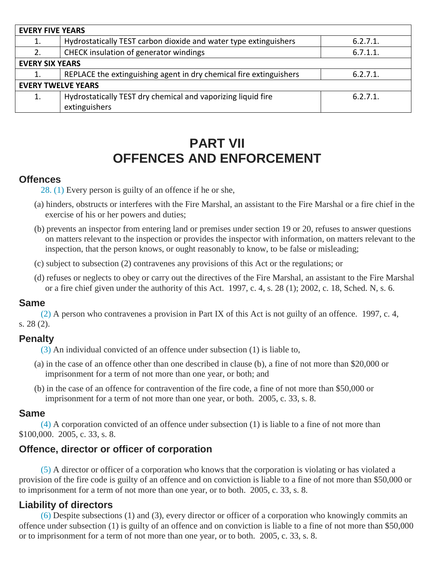| <b>EVERY FIVE YEARS</b>   |                                                                    |             |  |  |
|---------------------------|--------------------------------------------------------------------|-------------|--|--|
| 1.                        | Hydrostatically TEST carbon dioxide and water type extinguishers   | 6.2.7.1.    |  |  |
| 2.                        | CHECK insulation of generator windings                             | 6.7.1.1.    |  |  |
| <b>EVERY SIX YEARS</b>    |                                                                    |             |  |  |
|                           | REPLACE the extinguishing agent in dry chemical fire extinguishers | 6.2.7.1.    |  |  |
| <b>EVERY TWELVE YEARS</b> |                                                                    |             |  |  |
| 1.                        | Hydrostatically TEST dry chemical and vaporizing liquid fire       | $6.2.7.1$ . |  |  |
|                           | extinguishers                                                      |             |  |  |

# **PART VII OFFENCES AND ENFORCEMENT**

## **Offences**

[28. \(1\)](http://www.ontario.ca/fr/lois/loi/97f04#s28s1) Every person is guilty of an offence if he or she,

- (a) hinders, obstructs or interferes with the Fire Marshal, an assistant to the Fire Marshal or a fire chief in the exercise of his or her powers and duties;
- (b) prevents an inspector from entering land or premises under section 19 or 20, refuses to answer questions on matters relevant to the inspection or provides the inspector with information, on matters relevant to the inspection, that the person knows, or ought reasonably to know, to be false or misleading;
- (c) subject to subsection (2) contravenes any provisions of this Act or the regulations; or
- (d) refuses or neglects to obey or carry out the directives of the Fire Marshal, an assistant to the Fire Marshal or a fire chief given under the authority of this Act. 1997, c. 4, s. 28 (1); 2002, c. 18, Sched. N, s. 6.

## **Same**

[\(2\)](http://www.ontario.ca/fr/lois/loi/97f04#s28s2) A person who contravenes a provision in Part IX of this Act is not guilty of an offence. 1997, c. 4, s. 28 (2).

## **Penalty**

[\(3\)](http://www.ontario.ca/fr/lois/loi/97f04#s28s3) An individual convicted of an offence under subsection (1) is liable to,

- (a) in the case of an offence other than one described in clause (b), a fine of not more than \$20,000 or imprisonment for a term of not more than one year, or both; and
- (b) in the case of an offence for contravention of the fire code, a fine of not more than \$50,000 or imprisonment for a term of not more than one year, or both. 2005, c. 33, s. 8.

## **Same**

 $(4)$  A corporation convicted of an offence under subsection  $(1)$  is liable to a fine of not more than \$100,000. 2005, c. 33, s. 8.

# **Offence, director or officer of corporation**

[\(5\)](http://www.ontario.ca/fr/lois/loi/97f04#s28s5) A director or officer of a corporation who knows that the corporation is violating or has violated a provision of the fire code is guilty of an offence and on conviction is liable to a fine of not more than \$50,000 or to imprisonment for a term of not more than one year, or to both. 2005, c. 33, s. 8.

## **Liability of directors**

[\(6\)](http://www.ontario.ca/fr/lois/loi/97f04#s28s6) Despite subsections (1) and (3), every director or officer of a corporation who knowingly commits an offence under subsection (1) is guilty of an offence and on conviction is liable to a fine of not more than \$50,000 or to imprisonment for a term of not more than one year, or to both. 2005, c. 33, s. 8.